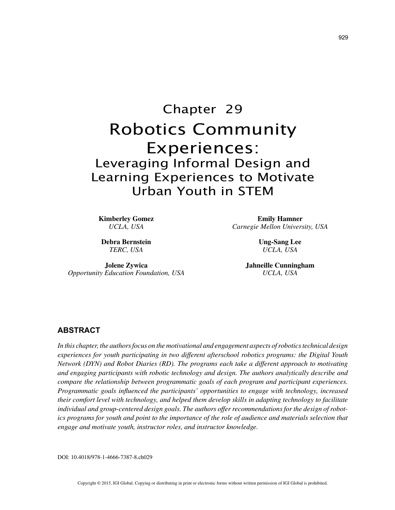# Chapter 29 Robotics Community Experiences: Leveraging Informal Design and Learning Experiences to Motivate Urban Youth in STEM

**Kimberley Gomez** *UCLA, USA*

**Debra Bernstein** *TERC, USA*

**Jolene Zywica** *Opportunity Education Foundation, USA*

**Emily Hamner** *Carnegie Mellon University, USA*

> **Ung-Sang Lee** *UCLA, USA*

**Jahneille Cunningham** *UCLA, USA*

## **ABSTRACT**

*In this chapter, the authors focus on the motivational and engagement aspects of robotics technical design experiences for youth participating in two different afterschool robotics programs: the Digital Youth Network (DYN) and Robot Diaries (RD). The programs each take a different approach to motivating and engaging participants with robotic technology and design. The authors analytically describe and compare the relationship between programmatic goals of each program and participant experiences. Programmatic goals influenced the participants' opportunities to engage with technology, increased their comfort level with technology, and helped them develop skills in adapting technology to facilitate individual and group-centered design goals. The authors offer recommendations for the design of robotics programs for youth and point to the importance of the role of audience and materials selection that engage and motivate youth, instructor roles, and instructor knowledge.*

DOI: 10.4018/978-1-4666-7387-8.ch029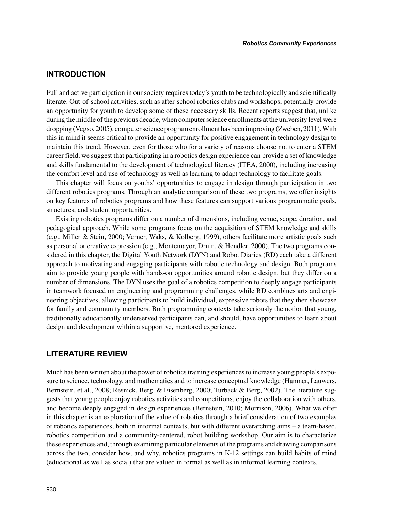# **INTRODUCTION**

Full and active participation in our society requires today's youth to be technologically and scientifically literate. Out-of-school activities, such as after-school robotics clubs and workshops, potentially provide an opportunity for youth to develop some of these necessary skills. Recent reports suggest that, unlike during the middle of the previous decade, when computer science enrollments at the university level were dropping (Vegso, 2005), computer science program enrollment has been improving (Zweben, 2011). With this in mind it seems critical to provide an opportunity for positive engagement in technology design to maintain this trend. However, even for those who for a variety of reasons choose not to enter a STEM career field, we suggest that participating in a robotics design experience can provide a set of knowledge and skills fundamental to the development of technological literacy (ITEA, 2000), including increasing the comfort level and use of technology as well as learning to adapt technology to facilitate goals.

This chapter will focus on youths' opportunities to engage in design through participation in two different robotics programs. Through an analytic comparison of these two programs, we offer insights on key features of robotics programs and how these features can support various programmatic goals, structures, and student opportunities.

Existing robotics programs differ on a number of dimensions, including venue, scope, duration, and pedagogical approach. While some programs focus on the acquisition of STEM knowledge and skills (e.g., Miller & Stein, 2000; Verner, Waks, & Kolberg, 1999), others facilitate more artistic goals such as personal or creative expression (e.g., Montemayor, Druin, & Hendler, 2000). The two programs considered in this chapter, the Digital Youth Network (DYN) and Robot Diaries (RD) each take a different approach to motivating and engaging participants with robotic technology and design. Both programs aim to provide young people with hands-on opportunities around robotic design, but they differ on a number of dimensions. The DYN uses the goal of a robotics competition to deeply engage participants in teamwork focused on engineering and programming challenges, while RD combines arts and engineering objectives, allowing participants to build individual, expressive robots that they then showcase for family and community members. Both programming contexts take seriously the notion that young, traditionally educationally underserved participants can, and should, have opportunities to learn about design and development within a supportive, mentored experience.

## **LITERATURE REVIEW**

Much has been written about the power of robotics training experiences to increase young people's exposure to science, technology, and mathematics and to increase conceptual knowledge (Hamner, Lauwers, Bernstein, et al., 2008; Resnick, Berg, & Eisenberg, 2000; Turback & Berg, 2002). The literature suggests that young people enjoy robotics activities and competitions, enjoy the collaboration with others, and become deeply engaged in design experiences (Bernstein, 2010; Morrison, 2006). What we offer in this chapter is an exploration of the value of robotics through a brief consideration of two examples of robotics experiences, both in informal contexts, but with different overarching aims – a team-based, robotics competition and a community-centered, robot building workshop. Our aim is to characterize these experiences and, through examining particular elements of the programs and drawing comparisons across the two, consider how, and why, robotics programs in K-12 settings can build habits of mind (educational as well as social) that are valued in formal as well as in informal learning contexts.